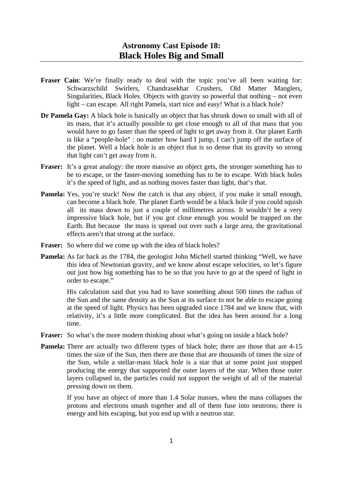- **Fraser Cain:** We're finally ready to deal with the topic you've all been waiting for: Schwarzschild Swirlers, Chandrasekhar Crushers, Old Matter Manglers, Singularities, Black Holes. Objects with gravity so powerful that nothing – not even light – can escape. All right Pamela, start nice and easy! What is a black hole?
- **Dr Pamela Gay:** A black hole is basically an object that has shrunk down so small with all of its mass, that it's actually possible to get close enough to all of that mass that you would have to go faster than the speed of light to get away from it. Our planet Earth is like a "people-hole" : no matter how hard I jump, I can't jump off the surface of the planet. Well a black hole is an object that is so dense that its gravity so strong that light can't get away from it.
- **Fraser:** It's a great analogy: the more massive an object gets, the stronger something has to be to escape, or the faster-moving something has to be to escape. With black holes it's the speed of light, and as nothing moves faster than light, that's that.
- **Pamela:** Yes, you're stuck! Now the catch is that any object, if you make it small enough, can become a black hole. The planet Earth would be a black hole if you could squish all its mass down to just a couple of millimetres across. It wouldn't be a very impressive black hole, but if you got close enough you would be trapped on the Earth. But because the mass is spread out over such a large area, the gravitational effects aren't that strong at the surface.
- **Fraser:** So where did we come up with the idea of black holes?
- **Pamela:** As far back as the 1784, the geologist John Michell started thinking "Well, we have this idea of Newtonian gravity, and we know about escape velocities, so let's figure out just how big something has to be so that you have to go at the speed of light in order to escape."

 His calculation said that you had to have something about 500 times the radius of the Sun and the same density as the Sun at its surface to not be able to escape going at the speed of light. Physics has been upgraded since 1784 and we know that, with relativity, it's a little more complicated. But the idea has been around for a long time.

- **Fraser:** So what's the more modern thinking about what's going on inside a black hole?
- **Pamela:** There are actually two different types of black hole; there are those that are 4-15 times the size of the Sun, then there are those that are thousands of times the size of the Sun, while a stellar-mass black hole is a star that at some point just stopped producing the energy that supported the outer layers of the star. When those outer layers collapsed in, the particles could not support the weight of all of the material pressing down on them.

 If you have an object of more than 1.4 Solar masses, when the mass collapses the protons and electrons smash together and all of them fuse into neutrons; there is energy and bits escaping, but you end up with a neutron star.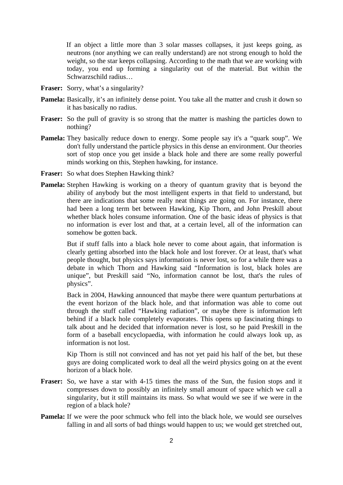If an object a little more than 3 solar masses collapses, it just keeps going, as neutrons (nor anything we can really understand) are not strong enough to hold the weight, so the star keeps collapsing. According to the math that we are working with today, you end up forming a singularity out of the material. But within the Schwarzschild radius…

- **Fraser:** Sorry, what's a singularity?
- **Pamela:** Basically, it's an infinitely dense point. You take all the matter and crush it down so it has basically no radius.
- Fraser: So the pull of gravity is so strong that the matter is mashing the particles down to nothing?
- **Pamela:** They basically reduce down to energy. Some people say it's a "quark soup". We don't fully understand the particle physics in this dense an environment. Our theories sort of stop once you get inside a black hole and there are some really powerful minds working on this, Stephen hawking, for instance.
- **Fraser:** So what does Stephen Hawking think?
- **Pamela:** Stephen Hawking is working on a theory of quantum gravity that is beyond the ability of anybody but the most intelligent experts in that field to understand, but there are indications that some really neat things are going on. For instance, there had been a long term bet between Hawking, Kip Thorn, and John Preskill about whether black holes consume information. One of the basic ideas of physics is that no information is ever lost and that, at a certain level, all of the information can somehow be gotten back.

 But if stuff falls into a black hole never to come about again, that information is clearly getting absorbed into the black hole and lost forever. Or at least, that's what people thought, but physics says information is never lost, so for a while there was a debate in which Thorn and Hawking said "Information is lost, black holes are unique", but Preskill said "No, information cannot be lost, that's the rules of physics".

 Back in 2004, Hawking announced that maybe there were quantum perturbations at the event horizon of the black hole, and that information was able to come out through the stuff called "Hawking radiation", or maybe there is information left behind if a black hole completely evaporates. This opens up fascinating things to talk about and he decided that information never is lost, so he paid Preskill in the form of a baseball encyclopaedia, with information he could always look up, as information is not lost.

 Kip Thorn is still not convinced and has not yet paid his half of the bet, but these guys are doing complicated work to deal all the weird physics going on at the event horizon of a black hole.

- **Fraser:** So, we have a star with 4-15 times the mass of the Sun, the fusion stops and it compresses down to possibly an infinitely small amount of space which we call a singularity, but it still maintains its mass. So what would we see if we were in the region of a black hole?
- **Pamela:** If we were the poor schmuck who fell into the black hole, we would see ourselves falling in and all sorts of bad things would happen to us; we would get stretched out,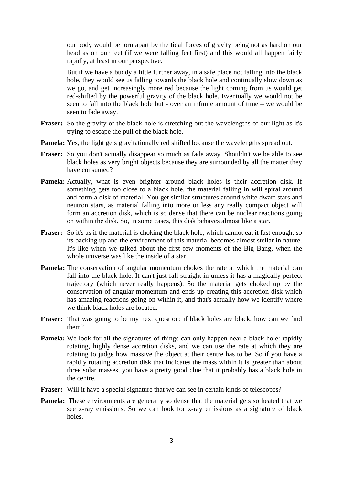our body would be torn apart by the tidal forces of gravity being not as hard on our head as on our feet (if we were falling feet first) and this would all happen fairly rapidly, at least in our perspective.

 But if we have a buddy a little further away, in a safe place not falling into the black hole, they would see us falling towards the black hole and continually slow down as we go, and get increasingly more red because the light coming from us would get red-shifted by the powerful gravity of the black hole. Eventually we would not be seen to fall into the black hole but - over an infinite amount of time – we would be seen to fade away.

- **Fraser:** So the gravity of the black hole is stretching out the wavelengths of our light as it's trying to escape the pull of the black hole.
- **Pamela:** Yes, the light gets gravitationally red shifted because the wavelengths spread out.
- **Fraser:** So you don't actually disappear so much as fade away. Shouldn't we be able to see black holes as very bright objects because they are surrounded by all the matter they have consumed?
- Pamela: Actually, what is even brighter around black holes is their accretion disk. If something gets too close to a black hole, the material falling in will spiral around and form a disk of material. You get similar structures around white dwarf stars and neutron stars, as material falling into more or less any really compact object will form an accretion disk, which is so dense that there can be nuclear reactions going on within the disk. So, in some cases, this disk behaves almost like a star.
- **Fraser:** So it's as if the material is choking the black hole, which cannot eat it fast enough, so its backing up and the environment of this material becomes almost stellar in nature. It's like when we talked about the first few moments of the Big Bang, when the whole universe was like the inside of a star.
- **Pamela:** The conservation of angular momentum chokes the rate at which the material can fall into the black hole. It can't just fall straight in unless it has a magically perfect trajectory (which never really happens). So the material gets choked up by the conservation of angular momentum and ends up creating this accretion disk which has amazing reactions going on within it, and that's actually how we identify where we think black holes are located.
- **Fraser:** That was going to be my next question: if black holes are black, how can we find them?
- **Pamela:** We look for all the signatures of things can only happen near a black hole: rapidly rotating, highly dense accretion disks, and we can use the rate at which they are rotating to judge how massive the object at their centre has to be. So if you have a rapidly rotating accretion disk that indicates the mass within it is greater than about three solar masses, you have a pretty good clue that it probably has a black hole in the centre.
- **Fraser:** Will it have a special signature that we can see in certain kinds of telescopes?
- **Pamela:** These environments are generally so dense that the material gets so heated that we see x-ray emissions. So we can look for x-ray emissions as a signature of black holes.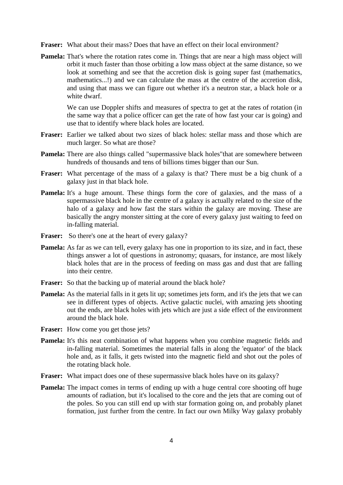**Fraser:** What about their mass? Does that have an effect on their local environment?

**Pamela:** That's where the rotation rates come in. Things that are near a high mass object will orbit it much faster than those orbiting a low mass object at the same distance, so we look at something and see that the accretion disk is going super fast (mathematics, mathematics...!) and we can calculate the mass at the centre of the accretion disk, and using that mass we can figure out whether it's a neutron star, a black hole or a white dwarf.

 We can use Doppler shifts and measures of spectra to get at the rates of rotation (in the same way that a police officer can get the rate of how fast your car is going) and use that to identify where black holes are located.

- **Fraser:** Earlier we talked about two sizes of black holes: stellar mass and those which are much larger. So what are those?
- **Pamela:** There are also things called "supermassive black holes" that are somewhere between hundreds of thousands and tens of billions times bigger than our Sun.
- **Fraser:** What percentage of the mass of a galaxy is that? There must be a big chunk of a galaxy just in that black hole.
- **Pamela:** It's a huge amount. These things form the core of galaxies, and the mass of a supermassive black hole in the centre of a galaxy is actually related to the size of the halo of a galaxy and how fast the stars within the galaxy are moving. These are basically the angry monster sitting at the core of every galaxy just waiting to feed on in-falling material.
- Fraser: So there's one at the heart of every galaxy?
- **Pamela:** As far as we can tell, every galaxy has one in proportion to its size, and in fact, these things answer a lot of questions in astronomy; quasars, for instance, are most likely black holes that are in the process of feeding on mass gas and dust that are falling into their centre.
- **Fraser:** So that the backing up of material around the black hole?
- **Pamela:** As the material falls in it gets lit up; sometimes jets form, and it's the jets that we can see in different types of objects. Active galactic nuclei, with amazing jets shooting out the ends, are black holes with jets which are just a side effect of the environment around the black hole.
- **Fraser:** How come you get those jets?
- **Pamela:** It's this neat combination of what happens when you combine magnetic fields and in-falling material. Sometimes the material falls in along the 'equator' of the black hole and, as it falls, it gets twisted into the magnetic field and shot out the poles of the rotating black hole.
- **Fraser:** What impact does one of these supermassive black holes have on its galaxy?
- **Pamela:** The impact comes in terms of ending up with a huge central core shooting off huge amounts of radiation, but it's localised to the core and the jets that are coming out of the poles. So you can still end up with star formation going on, and probably planet formation, just further from the centre. In fact our own Milky Way galaxy probably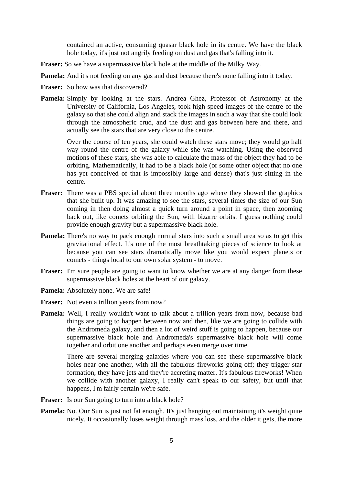contained an active, consuming quasar black hole in its centre. We have the black hole today, it's just not angrily feeding on dust and gas that's falling into it.

- **Fraser:** So we have a supermassive black hole at the middle of the Milky Way.
- **Pamela:** And it's not feeding on any gas and dust because there's none falling into it today.
- **Fraser:** So how was that discovered?
- **Pamela:** Simply by looking at the stars. Andrea Ghez, Professor of Astronomy at the University of California, Los Angeles, took high speed images of the centre of the galaxy so that she could align and stack the images in such a way that she could look through the atmospheric crud, and the dust and gas between here and there, and actually see the stars that are very close to the centre.

 Over the course of ten years, she could watch these stars move; they would go half way round the centre of the galaxy while she was watching. Using the observed motions of these stars, she was able to calculate the mass of the object they had to be orbiting. Mathematically, it had to be a black hole (or some other object that no one has yet conceived of that is impossibly large and dense) that's just sitting in the centre.

- **Fraser:** There was a PBS special about three months ago where they showed the graphics that she built up. It was amazing to see the stars, several times the size of our Sun coming in then doing almost a quick turn around a point in space, then zooming back out, like comets orbiting the Sun, with bizarre orbits. I guess nothing could provide enough gravity but a supermassive black hole.
- **Pamela:** There's no way to pack enough normal stars into such a small area so as to get this gravitational effect. It's one of the most breathtaking pieces of science to look at because you can see stars dramatically move like you would expect planets or comets - things local to our own solar system - to move.
- **Fraser:** I'm sure people are going to want to know whether we are at any danger from these supermassive black holes at the heart of our galaxy.
- **Pamela:** Absolutely none. We are safe!
- **Fraser:** Not even a trillion years from now?
- **Pamela:** Well, I really wouldn't want to talk about a trillion years from now, because bad things are going to happen between now and then, like we are going to collide with the Andromeda galaxy, and then a lot of weird stuff is going to happen, because our supermassive black hole and Andromeda's supermassive black hole will come together and orbit one another and perhaps even merge over time.

 There are several merging galaxies where you can see these supermassive black holes near one another, with all the fabulous fireworks going off; they trigger star formation, they have jets and they're accreting matter. It's fabulous fireworks! When we collide with another galaxy, I really can't speak to our safety, but until that happens, I'm fairly certain we're safe.

- Fraser: Is our Sun going to turn into a black hole?
- **Pamela:** No. Our Sun is just not fat enough. It's just hanging out maintaining it's weight quite nicely. It occasionally loses weight through mass loss, and the older it gets, the more